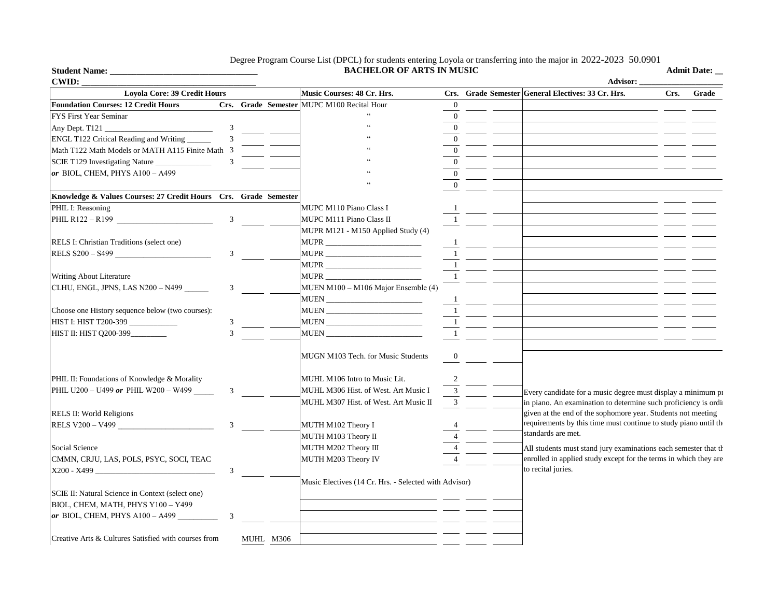## Degree Program Course List (DPCL) for students entering Loyola or transferring into the major in 2022-2023 50.0901

**Music Courses: 48 Cr. Hrs. Crs. Grade Semester General Electives: 33 Cr. Hrs. Crs. Grade Foundation Courses: 12 Credit Hours Crs. Grade Semester** MUPC M100 Recital Hour 0 FYS First Year Seminar  $\qquad \qquad \qquad$  0 Any Dept. T121  $\frac{3}{3}$   $\frac{4}{3}$   $\frac{4}{3}$   $\frac{4}{3}$   $\frac{4}{3}$ ENGL T122 Critical Reading and Writing  $\qquad \qquad 3 \qquad \qquad 3 \qquad \qquad 3$ Math T122 Math Models or MATH A115 Finite Math  $\overline{3}$   $\overline{9}$   $\overline{1}$   $\overline{2}$   $\overline{3}$   $\overline{2}$   $\overline{3}$   $\overline{4}$   $\overline{5}$   $\overline{2}$   $\overline{2}$   $\overline{3}$   $\overline{4}$   $\overline{2}$   $\overline{2}$   $\overline{2}$   $\overline{2}$   $\overline{2}$   $\overline{2}$   $\over$ SCIE T129 Investigating Nature \_\_\_\_\_\_\_\_\_\_\_\_\_\_ 3 " 0 *or* BIOL, CHEM, PHYS A100 – A499  $\qquad \qquad$  0  $\sim$  0 **Knowledge & Values Courses: 27 Credit Hours Crs. Grade Semester** PHIL I: Reasoning MUPC M110 Piano Class I PHIL R122 – R199  $\qquad \qquad 3 \qquad \qquad$  MUPC M111 Piano Class II 1 MUPR M121 - M150 Applied Study (4) RELS I: Christian Traditions (select one) MUPR \_\_\_\_\_\_\_\_\_\_\_\_\_\_\_\_\_\_\_\_\_\_\_\_\_\_\_\_\_\_\_\_\_ RELS  $$200 - $499$   $$3$  MUPR  $\_$ MUPR \_\_\_\_\_\_\_\_\_\_\_\_\_\_\_\_\_\_\_\_\_\_\_\_ 1 Writing About Literature 1 CLHU, ENGL, JPNS, LAS  $N200 - N499$  3 MUEN M100 – M106 Major Ensemble (4) MUEN \_\_\_\_\_\_\_\_\_\_\_\_\_\_\_\_\_\_\_\_\_\_\_\_ 1 Choose one History sequence below (two courses): MUEN \_\_\_\_\_\_\_\_\_\_\_\_\_\_\_\_\_\_\_\_\_\_\_\_\_\_\_ 1 HIST I: HIST T200-399 \_\_\_\_\_\_\_\_\_\_\_\_ 3 MUEN \_\_\_\_\_\_\_\_\_\_\_\_\_\_\_\_\_\_\_\_\_\_\_\_ 1 HIST II: HIST Q200-399\_\_\_\_\_\_\_\_\_ 3 MUEN \_\_\_\_\_\_\_\_\_\_\_\_\_\_\_\_\_\_\_\_\_\_\_\_ 1 MUGN M103 Tech. for Music Students 0 PHIL II: Foundations of Knowledge & Morality MUHL M106 Intro to Music Lit. 2 PHIL U200 – U499 **or** PHIL W200 – W499 **3** MUHL M306 Hist. of West. Art Music I 3 MUHL M307 Hist. of West. Art Music II 3 RELS II: World Religions RELS V200 – V499  $\overline{3}$   $\overline{3}$   $\overline{3}$   $\overline{3}$   $\overline{3}$   $\overline{4}$   $\overline{10}$   $\overline{2}$   $\overline{1}$   $\overline{2}$   $\overline{4}$   $\overline{4}$   $\overline{2}$   $\overline{4}$   $\overline{2}$   $\overline{1}$   $\overline{2}$   $\overline{1}$   $\overline{2}$   $\overline{1}$   $\overline{2}$   $\overline{1}$   $\overline{2$ MUTH M103 Theory II Social Science MUTH M202 Theory III CMMN, CRJU, LAS, POLS, PSYC, SOCI, TEAC MUTH M203 Theory IV X200 - X499 \_\_\_\_\_\_\_\_\_\_\_\_\_\_\_\_\_\_\_\_\_\_\_\_\_\_\_\_\_\_ 3 Music Electives (14 Cr. Hrs. - Selected with Advisor) SCIE II: Natural Science in Context (select one) BIOL, CHEM, MATH, PHYS Y100 – Y499 *or* BIOL, CHEM, PHYS A100 – A499 3 **CWID: \_\_\_\_\_\_\_\_\_\_\_\_\_\_\_\_\_\_\_\_\_\_\_\_\_\_\_\_\_\_\_\_\_\_\_\_\_\_\_ Advisor: \_\_\_\_\_\_\_\_\_\_\_\_\_\_\_\_\_\_\_\_\_\_\_\_\_\_\_\_\_ Loyola Core: 39 Credit Hours** Every candidate for a music degree must display a minimum proficiency in piano. An examination to determine such proficiency is ordinary given at the end of the sophomore year. Students not meeting requirements by this time must continue to study piano until th standards are met. All students must stand jury examinations each semester that the enrolled in applied study except for the terms in which they are to recital juries.

MUHL M306

**Student Name: \_\_\_\_\_\_\_\_\_\_\_\_\_\_\_\_\_\_\_\_\_\_\_\_\_\_\_\_\_\_\_\_\_**

Creative Arts & Cultures Satisfied with courses from

**BACHELOR OF ARTS IN MUSIC Admit Date: \_\_\_\_\_\_\_\_\_**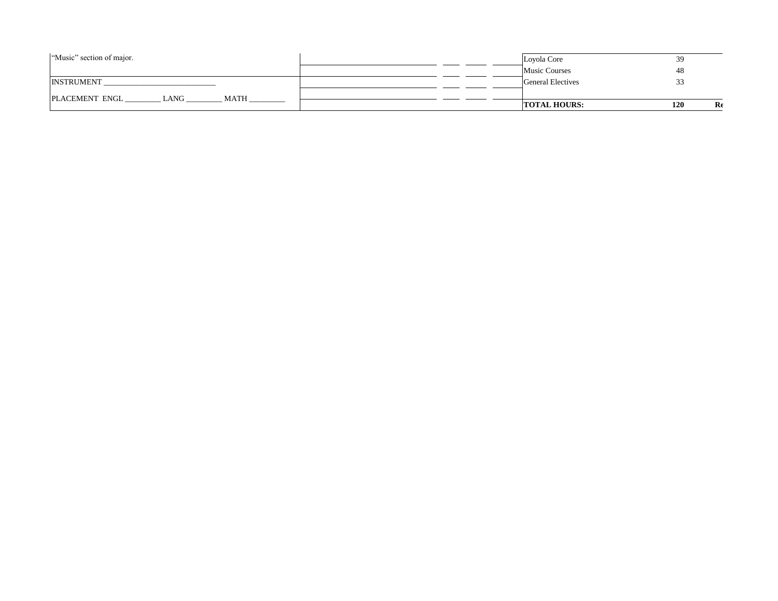| "Music" section of major.             | Loyola Core          | 39<br>ر ب |
|---------------------------------------|----------------------|-----------|
|                                       | <b>Music Courses</b> | 48        |
| <b>INSTRUMENT</b>                     | General Electives    |           |
| LANG<br>PLACEMENT ENGL<br><b>MATH</b> |                      |           |
|                                       | <b>TOTAL HOURS:</b>  | 120<br>Re |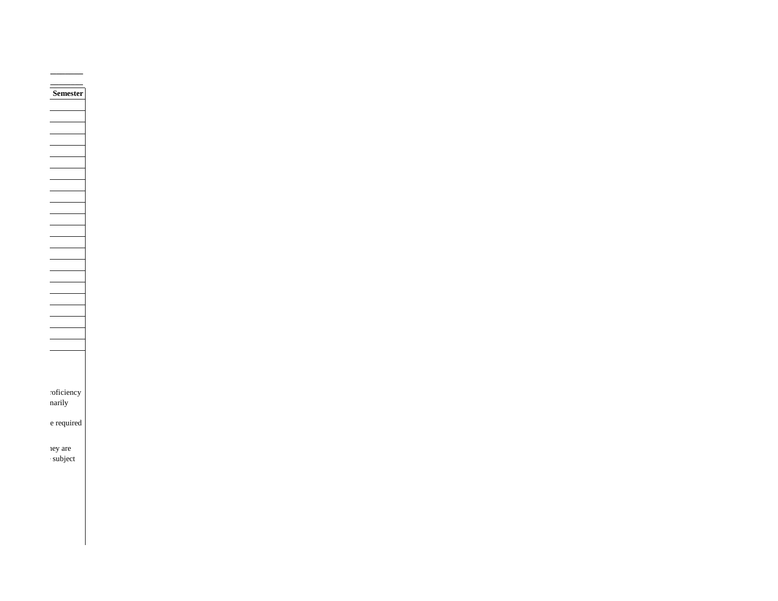**Semester** roficiency n arily  ${\bf e}$  required ney are subject is a

**Admit Date: \_\_\_\_\_\_\_\_\_**

**Advisor: \_\_\_\_\_\_\_\_\_\_\_\_\_\_\_\_\_\_\_\_\_\_\_\_\_\_\_\_\_**